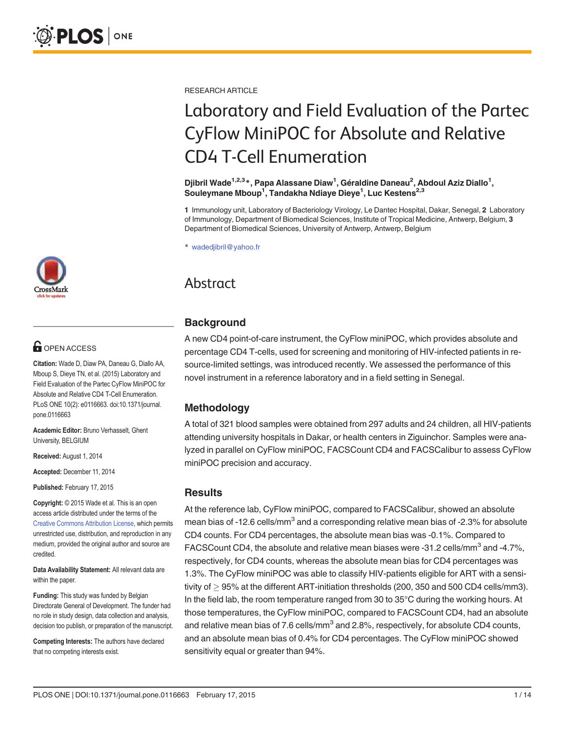# **OPEN ACCESS**

Citation: Wade D, Diaw PA, Daneau G, Diallo AA, Mboup S, Dieye TN, et al. (2015) Laboratory and Field Evaluation of the Partec CyFlow MiniPOC for Absolute and Relative CD4 T-Cell Enumeration. PLoS ONE 10(2): e0116663. doi:10.1371/journal. pone.0116663

Academic Editor: Bruno Verhasselt, Ghent University, BELGIUM

Received: August 1, 2014

Accepted: December 11, 2014

Published: February 17, 2015

Copyright: © 2015 Wade et al. This is an open access article distributed under the terms of the [Creative Commons Attribution License,](http://creativecommons.org/licenses/by/4.0/) which permits unrestricted use, distribution, and reproduction in any medium, provided the original author and source are credited.

Data Availability Statement: All relevant data are within the paper.

Funding: This study was funded by Belgian Directorate General of Development. The funder had no role in study design, data collection and analysis, decision too publish, or preparation of the manuscript.

Competing Interests: The authors have declared that no competing interests exist.

RESEARCH ARTICLE

# Laboratory and Field Evaluation of the Partec CyFlow MiniPOC for Absolute and Relative CD4 T-Cell Enumeration

Djibril Wade<sup>1,2,3</sup>\*, Papa Alassane Diaw<sup>1</sup>, Géraldine Daneau<sup>2</sup>, Abdoul Aziz Diallo<sup>1</sup>, Souleymane Mboup<sup>1</sup>, Tandakha Ndiaye Dieye<sup>1</sup>, Luc Kestens<sup>2,3</sup>

1 Immunology unit, Laboratory of Bacteriology Virology, Le Dantec Hospital, Dakar, Senegal, 2 Laboratory of Immunology, Department of Biomedical Sciences, Institute of Tropical Medicine, Antwerp, Belgium, 3 Department of Biomedical Sciences, University of Antwerp, Antwerp, Belgium

\* wadedjibril@yahoo.fr

## Abstract

## **Background**

A new CD4 point-of-care instrument, the CyFlow miniPOC, which provides absolute and percentage CD4 T-cells, used for screening and monitoring of HIV-infected patients in resource-limited settings, was introduced recently. We assessed the performance of this novel instrument in a reference laboratory and in a field setting in Senegal.

## **Methodology**

A total of 321 blood samples were obtained from 297 adults and 24 children, all HIV-patients attending university hospitals in Dakar, or health centers in Ziguinchor. Samples were analyzed in parallel on CyFlow miniPOC, FACSCount CD4 and FACSCalibur to assess CyFlow miniPOC precision and accuracy.

#### **Results**

At the reference lab, CyFlow miniPOC, compared to FACSCalibur, showed an absolute mean bias of -12.6 cells/ $mm<sup>3</sup>$  and a corresponding relative mean bias of -2.3% for absolute CD4 counts. For CD4 percentages, the absolute mean bias was -0.1%. Compared to FACSCount CD4, the absolute and relative mean biases were -31.2 cells/mm<sup>3</sup> and -4.7%, respectively, for CD4 counts, whereas the absolute mean bias for CD4 percentages was 1.3%. The CyFlow miniPOC was able to classify HIV-patients eligible for ART with a sensitivity of  $> 95\%$  at the different ART-initiation thresholds (200, 350 and 500 CD4 cells/mm3). In the field lab, the room temperature ranged from 30 to 35°C during the working hours. At those temperatures, the CyFlow miniPOC, compared to FACSCount CD4, had an absolute and relative mean bias of 7.6 cells/mm<sup>3</sup> and 2.8%, respectively, for absolute CD4 counts, and an absolute mean bias of 0.4% for CD4 percentages. The CyFlow miniPOC showed sensitivity equal or greater than 94%.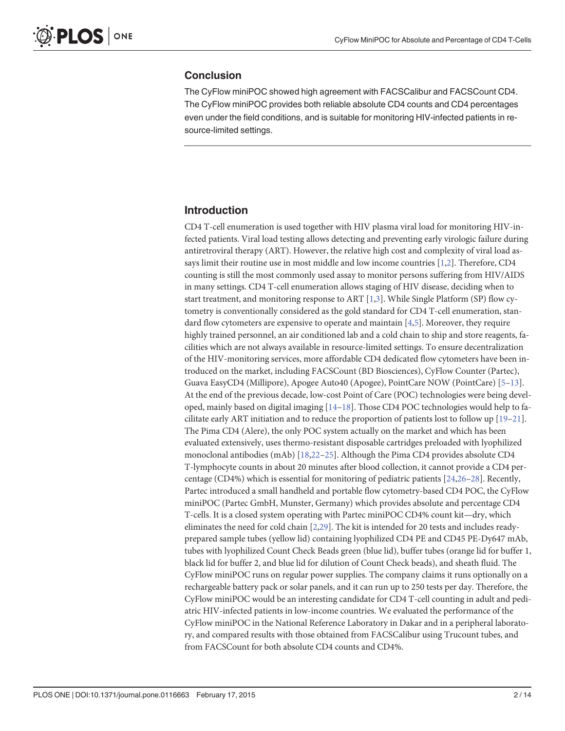#### <span id="page-1-0"></span>**Conclusion**

The CyFlow miniPOC showed high agreement with FACSCalibur and FACSCount CD4. The CyFlow miniPOC provides both reliable absolute CD4 counts and CD4 percentages even under the field conditions, and is suitable for monitoring HIV-infected patients in resource-limited settings.

#### Introduction

CD4 T-cell enumeration is used together with HIV plasma viral load for monitoring HIV-infected patients. Viral load testing allows detecting and preventing early virologic failure during antiretroviral therapy (ART). However, the relative high cost and complexity of viral load assays limit their routine use in most middle and low income countries [\[1](#page-10-0)[,2](#page-11-0)]. Therefore, CD4 counting is still the most commonly used assay to monitor persons suffering from HIV/AIDS in many settings. CD4 T-cell enumeration allows staging of HIV disease, deciding when to start treatment, and monitoring response to ART [\[1](#page-10-0)[,3](#page-11-0)]. While Single Platform (SP) flow cytometry is conventionally considered as the gold standard for CD4 T-cell enumeration, standard flow cytometers are expensive to operate and maintain [\[4,5\]](#page-11-0). Moreover, they require highly trained personnel, an air conditioned lab and a cold chain to ship and store reagents, facilities which are not always available in resource-limited settings. To ensure decentralization of the HIV-monitoring services, more affordable CD4 dedicated flow cytometers have been introduced on the market, including FACSCount (BD Biosciences), CyFlow Counter (Partec), Guava EasyCD4 (Millipore), Apogee Auto40 (Apogee), PointCare NOW (PointCare) [\[5](#page-11-0)–[13\]](#page-11-0). At the end of the previous decade, low-cost Point of Care (POC) technologies were being developed, mainly based on digital imaging [[14](#page-11-0)–[18](#page-11-0)]. Those CD4 POC technologies would help to facilitate early ART initiation and to reduce the proportion of patients lost to follow up [[19](#page-11-0)–[21](#page-12-0)]. The Pima CD4 (Alere), the only POC system actually on the market and which has been evaluated extensively, uses thermo-resistant disposable cartridges preloaded with lyophilized monoclonal antibodies (mAb) [[18](#page-11-0)[,22](#page-12-0)–[25\]](#page-12-0). Although the Pima CD4 provides absolute CD4 T-lymphocyte counts in about 20 minutes after blood collection, it cannot provide a CD4 percentage (CD4%) which is essential for monitoring of pediatric patients [[24,26](#page-12-0)–[28\]](#page-12-0). Recently, Partec introduced a small handheld and portable flow cytometry-based CD4 POC, the CyFlow miniPOC (Partec GmbH, Munster, Germany) which provides absolute and percentage CD4 T-cells. It is a closed system operating with Partec miniPOC CD4% count kit—dry, which eliminates the need for cold chain  $[2,29]$  $[2,29]$ . The kit is intended for 20 tests and includes readyprepared sample tubes (yellow lid) containing lyophilized CD4 PE and CD45 PE-Dy647 mAb, tubes with lyophilized Count Check Beads green (blue lid), buffer tubes (orange lid for buffer 1, black lid for buffer 2, and blue lid for dilution of Count Check beads), and sheath fluid. The CyFlow miniPOC runs on regular power supplies. The company claims it runs optionally on a rechargeable battery pack or solar panels, and it can run up to 250 tests per day. Therefore, the CyFlow miniPOC would be an interesting candidate for CD4 T-cell counting in adult and pediatric HIV-infected patients in low-income countries. We evaluated the performance of the CyFlow miniPOC in the National Reference Laboratory in Dakar and in a peripheral laboratory, and compared results with those obtained from FACSCalibur using Trucount tubes, and from FACSCount for both absolute CD4 counts and CD4%.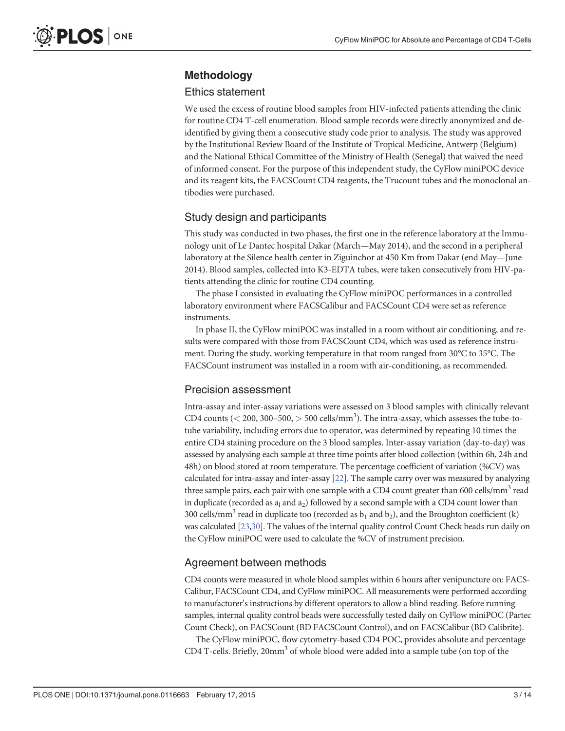### <span id="page-2-0"></span>Methodology

#### Ethics statement

We used the excess of routine blood samples from HIV-infected patients attending the clinic for routine CD4 T-cell enumeration. Blood sample records were directly anonymized and deidentified by giving them a consecutive study code prior to analysis. The study was approved by the Institutional Review Board of the Institute of Tropical Medicine, Antwerp (Belgium) and the National Ethical Committee of the Ministry of Health (Senegal) that waived the need of informed consent. For the purpose of this independent study, the CyFlow miniPOC device and its reagent kits, the FACSCount CD4 reagents, the Trucount tubes and the monoclonal antibodies were purchased.

#### Study design and participants

This study was conducted in two phases, the first one in the reference laboratory at the Immunology unit of Le Dantec hospital Dakar (March—May 2014), and the second in a peripheral laboratory at the Silence health center in Ziguinchor at 450 Km from Dakar (end May—June 2014). Blood samples, collected into K3-EDTA tubes, were taken consecutively from HIV-patients attending the clinic for routine CD4 counting.

The phase I consisted in evaluating the CyFlow miniPOC performances in a controlled laboratory environment where FACSCalibur and FACSCount CD4 were set as reference instruments.

In phase II, the CyFlow miniPOC was installed in a room without air conditioning, and results were compared with those from FACSCount CD4, which was used as reference instrument. During the study, working temperature in that room ranged from 30°C to 35°C. The FACSCount instrument was installed in a room with air-conditioning, as recommended.

#### Precision assessment

Intra-assay and inter-assay variations were assessed on 3 blood samples with clinically relevant CD4 counts ( $<$  200, 300–500,  $>$  500 cells/mm<sup>3</sup>). The intra-assay, which assesses the tube-totube variability, including errors due to operator, was determined by repeating 10 times the entire CD4 staining procedure on the 3 blood samples. Inter-assay variation (day-to-day) was assessed by analysing each sample at three time points after blood collection (within 6h, 24h and 48h) on blood stored at room temperature. The percentage coefficient of variation (%CV) was calculated for intra-assay and inter-assay [\[22\]](#page-12-0). The sample carry over was measured by analyzing three sample pairs, each pair with one sample with a CD4 count greater than 600 cells/mm<sup>3</sup> read in duplicate (recorded as  $a_1$  and  $a_2$ ) followed by a second sample with a CD4 count lower than 300 cells/mm<sup>3</sup> read in duplicate too (recorded as  $b_1$  and  $b_2$ ), and the Broughton coefficient (k) was calculated [\[23,30\]](#page-12-0). The values of the internal quality control Count Check beads run daily on the CyFlow miniPOC were used to calculate the %CV of instrument precision.

#### Agreement between methods

CD4 counts were measured in whole blood samples within 6 hours after venipuncture on: FACS-Calibur, FACSCount CD4, and CyFlow miniPOC. All measurements were performed according to manufacturer's instructions by different operators to allow a blind reading. Before running samples, internal quality control beads were successfully tested daily on CyFlow miniPOC (Partec Count Check), on FACSCount (BD FACSCount Control), and on FACSCalibur (BD Calibrite).

The CyFlow miniPOC, flow cytometry-based CD4 POC, provides absolute and percentage CD4 T-cells. Briefly, 20mm<sup>3</sup> of whole blood were added into a sample tube (on top of the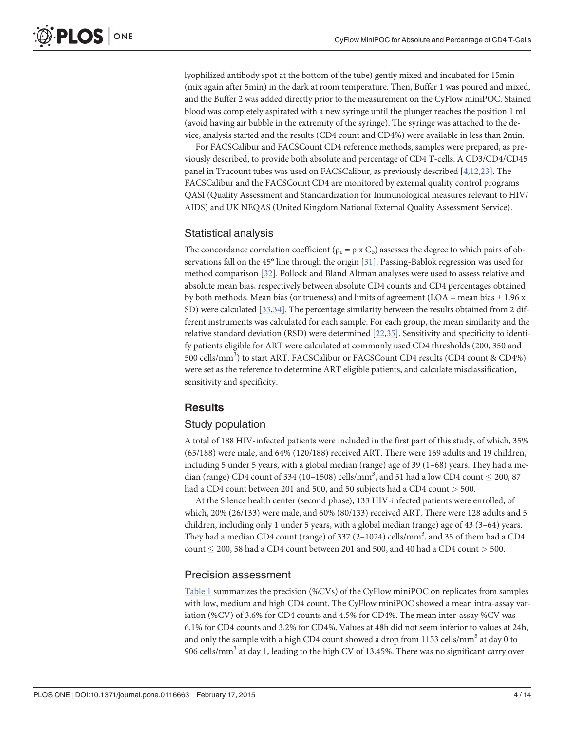<span id="page-3-0"></span>lyophilized antibody spot at the bottom of the tube) gently mixed and incubated for 15min (mix again after 5min) in the dark at room temperature. Then, Buffer 1 was poured and mixed, and the Buffer 2 was added directly prior to the measurement on the CyFlow miniPOC. Stained blood was completely aspirated with a new syringe until the plunger reaches the position 1 ml (avoid having air bubble in the extremity of the syringe). The syringe was attached to the device, analysis started and the results (CD4 count and CD4%) were available in less than 2min.

For FACSCalibur and FACSCount CD4 reference methods, samples were prepared, as previously described, to provide both absolute and percentage of CD4 T-cells. A CD3/CD4/CD45 panel in Trucount tubes was used on FACSCalibur, as previously described  $[4,12,23]$  $[4,12,23]$ . The FACSCalibur and the FACSCount CD4 are monitored by external quality control programs QASI (Quality Assessment and Standardization for Immunological measures relevant to HIV/ AIDS) and UK NEQAS (United Kingdom National External Quality Assessment Service).

#### Statistical analysis

The concordance correlation coefficient ( $\rho_c = \rho x C_b$ ) assesses the degree to which pairs of observations fall on the 45° line through the origin [[31](#page-12-0)]. Passing-Bablok regression was used for method comparison [[32\]](#page-12-0). Pollock and Bland Altman analyses were used to assess relative and absolute mean bias, respectively between absolute CD4 counts and CD4 percentages obtained by both methods. Mean bias (or trueness) and limits of agreement (LOA = mean bias  $\pm$  1.96 x SD) were calculated [[33,34](#page-12-0)]. The percentage similarity between the results obtained from 2 different instruments was calculated for each sample. For each group, the mean similarity and the relative standard deviation (RSD) were determined [\[22,35\]](#page-12-0). Sensitivity and specificity to identify patients eligible for ART were calculated at commonly used CD4 thresholds (200, 350 and 500 cells/mm<sup>3</sup>) to start ART. FACSCalibur or FACSCount CD4 results (CD4 count & CD4%) were set as the reference to determine ART eligible patients, and calculate misclassification, sensitivity and specificity.

#### **Results**

#### Study population

A total of 188 HIV-infected patients were included in the first part of this study, of which, 35% (65/188) were male, and 64% (120/188) received ART. There were 169 adults and 19 children, including 5 under 5 years, with a global median (range) age of 39 (1–68) years. They had a median (range) CD4 count of 334 (10–1508) cells/mm<sup>3</sup>, and 51 had a low CD4 count  $\leq$  200, 87 had a CD4 count between 201 and 500, and 50 subjects had a CD4 count > 500.

At the Silence health center (second phase), 133 HIV-infected patients were enrolled, of which, 20% (26/133) were male, and 60% (80/133) received ART. There were 128 adults and 5 children, including only 1 under 5 years, with a global median (range) age of 43 (3–64) years. They had a median CD4 count (range) of 337 (2-1024) cells/mm<sup>3</sup>, and 35 of them had a CD4 count  $\leq$  200, 58 had a CD4 count between 201 and 500, and 40 had a CD4 count  $>$  500.

#### Precision assessment

[Table 1](#page-4-0) summarizes the precision (%CVs) of the CyFlow miniPOC on replicates from samples with low, medium and high CD4 count. The CyFlow miniPOC showed a mean intra-assay variation (%CV) of 3.6% for CD4 counts and 4.5% for CD4%. The mean inter-assay %CV was 6.1% for CD4 counts and 3.2% for CD4%. Values at 48h did not seem inferior to values at 24h, and only the sample with a high CD4 count showed a drop from 1153 cells/mm<sup>3</sup> at day 0 to 906 cells/mm<sup>3</sup> at day 1, leading to the high CV of 13.45%. There was no significant carry over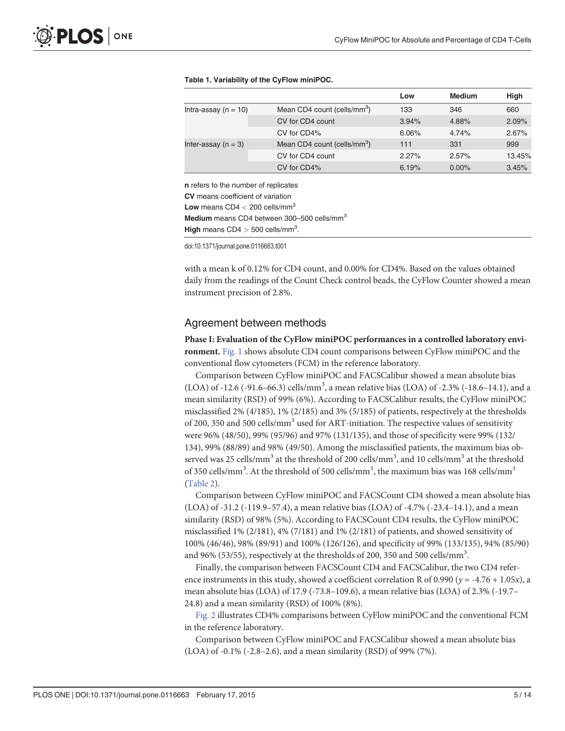|                                                                                  |                                         | Low   | <b>Medium</b> | <b>High</b> |
|----------------------------------------------------------------------------------|-----------------------------------------|-------|---------------|-------------|
| Intra-assay ( $n = 10$ )                                                         | Mean CD4 count (cells/mm <sup>3</sup> ) | 133   | 346           | 660         |
|                                                                                  | CV for CD4 count                        | 3.94% | 4.88%         | 2.09%       |
|                                                                                  | CV for CD4%                             | 6.06% | 4.74%         | 2.67%       |
| Inter-assay $(n = 3)$                                                            | Mean CD4 count (cells/mm <sup>3</sup> ) | 111   | 331           | 999         |
|                                                                                  | CV for CD4 count                        | 2.27% | 2.57%         | 13.45%      |
|                                                                                  | CV for CD4%                             | 6.19% | $0.00\%$      | 3.45%       |
| <b>n</b> refers to the number of replicates<br>CV means coefficient of variation |                                         |       |               |             |

#### <span id="page-4-0"></span>[Table 1.](#page-3-0) Variability of the CyFlow miniPOC.

Low means  $CD4 < 200$  cells/mm<sup>3</sup> Medium means CD4 between 300-500 cells/mm<sup>3</sup> High means  $CD4 > 500$  cells/mm<sup>3</sup>.

doi:10.1371/journal.pone.0116663.t001

with a mean k of 0.12% for CD4 count, and 0.00% for CD4%. Based on the values obtained daily from the readings of the Count Check control beads, the CyFlow Counter showed a mean instrument precision of 2.8%.

#### Agreement between methods

Phase I: Evaluation of the CyFlow miniPOC performances in a controlled laboratory environment. [Fig. 1](#page-5-0) shows absolute CD4 count comparisons between CyFlow miniPOC and the conventional flow cytometers (FCM) in the reference laboratory.

Comparison between CyFlow miniPOC and FACSCalibur showed a mean absolute bias  $(LOA)$  of -12.6 (-91.6–66.3) cells/mm<sup>3</sup>, a mean relative bias (LOA) of -2.3% (-18.6–14.1), and a mean similarity (RSD) of 99% (6%). According to FACSCalibur results, the CyFlow miniPOC misclassified 2% (4/185), 1% (2/185) and 3% (5/185) of patients, respectively at the thresholds of 200, 350 and 500 cells/mm<sup>3</sup> used for ART-initiation. The respective values of sensitivity were 96% (48/50), 99% (95/96) and 97% (131/135), and those of specificity were 99% (132/ 134), 99% (88/89) and 98% (49/50). Among the misclassified patients, the maximum bias observed was 25 cells/mm<sup>3</sup> at the threshold of 200 cells/mm<sup>3</sup>, and 10 cells/mm<sup>3</sup> at the threshold of 350 cells/mm<sup>3</sup>. At the threshold of 500 cells/mm<sup>3</sup>, the maximum bias was 168 cells/mm<sup>3</sup> [\(Table 2\)](#page-6-0).

Comparison between CyFlow miniPOC and FACSCount CD4 showed a mean absolute bias (LOA) of -31.2 (-119.9–57.4), a mean relative bias (LOA) of -4.7% (-23.4–14.1), and a mean similarity (RSD) of 98% (5%). According to FACSCount CD4 results, the CyFlow miniPOC misclassified 1% (2/181), 4% (7/181) and 1% (2/181) of patients, and showed sensitivity of 100% (46/46), 98% (89/91) and 100% (126/126), and specificity of 99% (133/135), 94% (85/90) and 96% (53/55), respectively at the thresholds of 200, 350 and 500 cells/mm<sup>3</sup>.

Finally, the comparison between FACSCount CD4 and FACSCalibur, the two CD4 reference instruments in this study, showed a coefficient correlation R of 0.990 ( $y = -4.76 + 1.05x$ ), a mean absolute bias (LOA) of 17.9 (-73.8–109.6), a mean relative bias (LOA) of 2.3% (-19.7– 24.8) and a mean similarity (RSD) of 100% (8%).

[Fig. 2](#page-6-0) illustrates CD4% comparisons between CyFlow miniPOC and the conventional FCM in the reference laboratory.

Comparison between CyFlow miniPOC and FACSCalibur showed a mean absolute bias (LOA) of -0.1% (-2.8–2.6), and a mean similarity (RSD) of 99% (7%).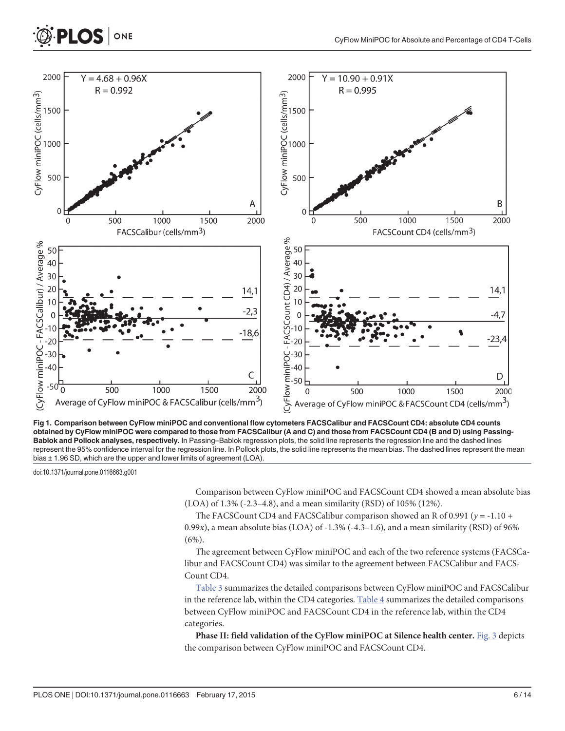<span id="page-5-0"></span>

[Fig 1. C](#page-4-0)omparison between CyFlow miniPOC and conventional flow cytometers FACSCalibur and FACSCount CD4: absolute CD4 counts obtained by CyFlow miniPOC were compared to those from FACSCalibur (A and C) and those from FACSCount CD4 (B and D) using Passing-Bablok and Pollock analyses, respectively. In Passing–Bablok regression plots, the solid line represents the regression line and the dashed lines represent the 95% confidence interval for the regression line. In Pollock plots, the solid line represents the mean bias. The dashed lines represent the mean bias ± 1.96 SD, which are the upper and lower limits of agreement (LOA).

doi:10.1371/journal.pone.0116663.g001

Comparison between CyFlow miniPOC and FACSCount CD4 showed a mean absolute bias (LOA) of 1.3% (-2.3–4.8), and a mean similarity (RSD) of 105% (12%).

The FACSCount CD4 and FACSCalibur comparison showed an R of 0.991 ( $y = -1.10 +$ 0.99x), a mean absolute bias (LOA) of  $-1.3\%$   $(-4.3-1.6)$ , and a mean similarity (RSD) of 96%  $(6\%)$ .

The agreement between CyFlow miniPOC and each of the two reference systems (FACSCalibur and FACSCount CD4) was similar to the agreement between FACSCalibur and FACS-Count CD4.

[Table 3](#page-7-0) summarizes the detailed comparisons between CyFlow miniPOC and FACSCalibur in the reference lab, within the CD4 categories. Table  $4$  summarizes the detailed comparisons between CyFlow miniPOC and FACSCount CD4 in the reference lab, within the CD4 categories.

Phase II: field validation of the CyFlow miniPOC at Silence health center. [Fig. 3](#page-8-0) depicts the comparison between CyFlow miniPOC and FACSCount CD4.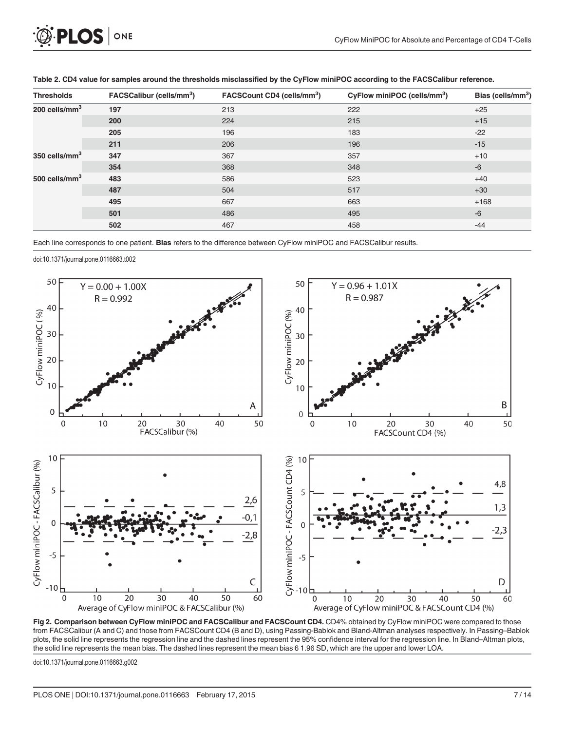<span id="page-6-0"></span>

| <b>Thresholds</b>         | FACSCalibur (cells/mm <sup>3</sup> ) | FACSCount CD4 (cells/mm <sup>3</sup> ) | CyFlow miniPOC (cells/mm <sup>3</sup> ) | Bias (cells/mm <sup>3</sup> ) |
|---------------------------|--------------------------------------|----------------------------------------|-----------------------------------------|-------------------------------|
| 200 cells/mm $3$          | 197                                  | 213                                    | 222                                     | $+25$                         |
|                           | 200                                  | 224                                    | 215                                     | $+15$                         |
|                           | 205                                  | 196                                    | 183                                     | $-22$                         |
|                           | 211                                  | 206                                    | 196                                     | $-15$                         |
| 350 cells/mm <sup>3</sup> | 347                                  | 367                                    | 357                                     | $+10$                         |
|                           | 354                                  | 368                                    | 348                                     | $-6$                          |
| 500 cells/ $mm3$          | 483                                  | 586                                    | 523                                     | $+40$                         |
|                           | 487                                  | 504                                    | 517                                     | $+30$                         |
|                           | 495                                  | 667                                    | 663                                     | $+168$                        |
|                           | 501                                  | 486                                    | 495                                     | $-6$                          |
|                           | 502                                  | 467                                    | 458                                     | $-44$                         |

[Table 2.](#page-4-0) CD4 value for samples around the thresholds misclassified by the CyFlow miniPOC according to the FACSCalibur reference.

Each line corresponds to one patient. Bias refers to the difference between CyFlow miniPOC and FACSCalibur results.

doi:10.1371/journal.pone.0116663.t002



[Fig 2. C](#page-4-0)omparison between CyFlow miniPOC and FACSCalibur and FACSCount CD4. CD4% obtained by CyFlow miniPOC were compared to those from FACSCalibur (A and C) and those from FACSCount CD4 (B and D), using Passing-Bablok and Bland-Altman analyses respectively. In Passing–Bablok plots, the solid line represents the regression line and the dashed lines represent the 95% confidence interval for the regression line. In Bland–Altman plots, the solid line represents the mean bias. The dashed lines represent the mean bias 6 1.96 SD, which are the upper and lower LOA.

doi:10.1371/journal.pone.0116663.g002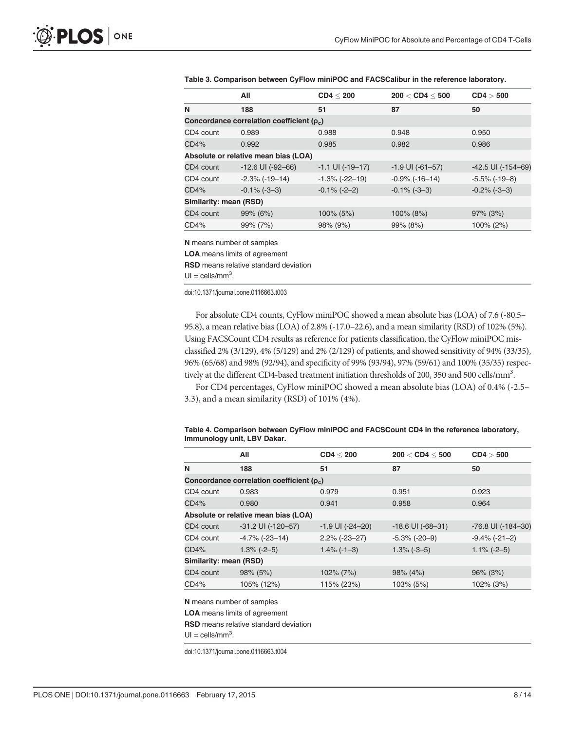<span id="page-7-0"></span>

|  |  |  | Table 3. Comparison between CyFlow miniPOC and FACSCalibur in the reference laboratory. |  |
|--|--|--|-----------------------------------------------------------------------------------------|--|
|--|--|--|-----------------------------------------------------------------------------------------|--|

|                                      | All                                            | CD4 < 200              | 200 < CDA < 500       | CD4 > 500                |  |  |
|--------------------------------------|------------------------------------------------|------------------------|-----------------------|--------------------------|--|--|
| N                                    | 188                                            | 51                     | 87                    | 50                       |  |  |
|                                      | Concordance correlation coefficient $(\rho_c)$ |                        |                       |                          |  |  |
| CD4 count                            | 0.989                                          | 0.988                  | 0.948                 | 0.950                    |  |  |
| CD4%                                 | 0.992                                          | 0.985                  | 0.982                 | 0.986                    |  |  |
| Absolute or relative mean bias (LOA) |                                                |                        |                       |                          |  |  |
| CD4 count                            | $-12.6$ UI ( $-92-66$ )                        | $-1.1$ UI ( $-19-17$ ) | $-1.9$ UI $(-61-57)$  | $-42.5$ UI ( $-154-69$ ) |  |  |
| CD4 count                            | $-2.3\%$ ( $-19-14$ )                          | $-1.3\%$ ( $-22-19$ )  | $-0.9\%$ ( $-16-14$ ) | $-5.5\%$ ( $-19-8$ )     |  |  |
| CD4%                                 | $-0.1\%$ ( $-3-3$ )                            | $-0.1\%$ ( $-2-2$ )    | $-0.1\%$ ( $-3-3$ )   | $-0.2\%$ ( $-3-3$ )      |  |  |
| Similarity: mean (RSD)               |                                                |                        |                       |                          |  |  |
| CD4 count                            | $99\% (6\%)$                                   | 100% (5%)              | 100% (8%)             | $97\%$ (3%)              |  |  |
| CD4%                                 | 99% (7%)                                       | 98% (9%)               | 99% (8%)              | $100\% (2\%)$            |  |  |

N means number of samples

LOA means limits of agreement

RSD means relative standard deviation

 $UI =$  cells/mm<sup>3</sup>.

doi:10.1371/journal.pone.0116663.t003

For absolute CD4 counts, CyFlow miniPOC showed a mean absolute bias (LOA) of 7.6 (-80.5– 95.8), a mean relative bias (LOA) of 2.8% (-17.0–22.6), and a mean similarity (RSD) of 102% (5%). Using FACSCount CD4 results as reference for patients classification, the CyFlow miniPOC misclassified 2% (3/129), 4% (5/129) and 2% (2/129) of patients, and showed sensitivity of 94% (33/35), 96% (65/68) and 98% (92/94), and specificity of 99% (93/94), 97% (59/61) and 100% (35/35) respectively at the different CD4-based treatment initiation thresholds of 200, 350 and 500 cells/mm<sup>3</sup>.

For CD4 percentages, CyFlow miniPOC showed a mean absolute bias (LOA) of 0.4% (-2.5– 3.3), and a mean similarity (RSD) of 101% (4%).

#### [Table 4.](#page-5-0) Comparison between CyFlow miniPOC and FACSCount CD4 in the reference laboratory, Immunology unit, LBV Dakar.

|                        | All                                      | CD4 < 200            | 200 < CDA < 500       | CD4 > 500                |  |  |  |
|------------------------|------------------------------------------|----------------------|-----------------------|--------------------------|--|--|--|
| N                      | 188                                      | 51                   | 87                    | 50                       |  |  |  |
|                        | Concordance correlation coefficient (p.) |                      |                       |                          |  |  |  |
| CD4 count              | 0.983                                    | 0.979                | 0.951                 | 0.923                    |  |  |  |
| CD4%                   | 0.980                                    | 0.941                | 0.958                 | 0.964                    |  |  |  |
|                        | Absolute or relative mean bias (LOA)     |                      |                       |                          |  |  |  |
| CD4 count              | $-31.2$ UI ( $-120-57$ )                 | $-1.9$ UI $(-24-20)$ | $-18.6$ UI $(-68-31)$ | $-76.8$ UI ( $-184-30$ ) |  |  |  |
| CD4 count              | $-4.7\%$ ( $-23-14$ )                    | $2.2\%$ (-23-27)     | $-5.3\%$ ( $-20-9$ )  | $-9.4\%$ ( $-21-2$ )     |  |  |  |
| CD4%                   | $1.3\%$ (-2-5)                           | $1.4\%$ (-1-3)       | $1.3\%$ (-3-5)        | $1.1\%$ (-2-5)           |  |  |  |
| Similarity: mean (RSD) |                                          |                      |                       |                          |  |  |  |
| CD4 count              | $98\%$ (5%)                              | $102\% (7\%)$        | $98\%$ (4%)           | $96\%$ (3%)              |  |  |  |
| CD4%                   | 105% (12%)                               | 115% (23%)           | 103% (5%)             | 102% (3%)                |  |  |  |

N means number of samples

LOA means limits of agreement

RSD means relative standard deviation

 $UI =$  cells/mm<sup>3</sup>.

doi:10.1371/journal.pone.0116663.t004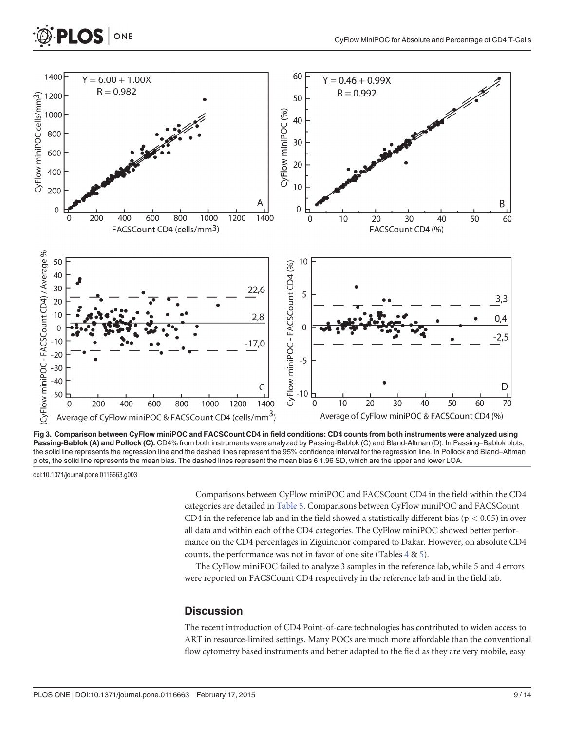<span id="page-8-0"></span>

[Fig 3. C](#page-5-0)omparison between CyFlow miniPOC and FACSCount CD4 in field conditions: CD4 counts from both instruments were analyzed using Passing-Bablok (A) and Pollock (C). CD4% from both instruments were analyzed by Passing-Bablok (C) and Bland-Altman (D). In Passing-Bablok plots, the solid line represents the regression line and the dashed lines represent the 95% confidence interval for the regression line. In Pollock and Bland–Altman plots, the solid line represents the mean bias. The dashed lines represent the mean bias 6 1.96 SD, which are the upper and lower LOA.

doi:10.1371/journal.pone.0116663.g003

Comparisons between CyFlow miniPOC and FACSCount CD4 in the field within the CD4 categories are detailed in [Table 5.](#page-9-0) Comparisons between CyFlow miniPOC and FACSCount CD4 in the reference lab and in the field showed a statistically different bias ( $p < 0.05$ ) in overall data and within each of the CD4 categories. The CyFlow miniPOC showed better performance on the CD4 percentages in Ziguinchor compared to Dakar. However, on absolute CD4 counts, the performance was not in favor of one site (Tables [4](#page-7-0) & [5](#page-9-0)).

The CyFlow miniPOC failed to analyze 3 samples in the reference lab, while 5 and 4 errors were reported on FACSCount CD4 respectively in the reference lab and in the field lab.

#### **Discussion**

The recent introduction of CD4 Point-of-care technologies has contributed to widen access to ART in resource-limited settings. Many POCs are much more affordable than the conventional flow cytometry based instruments and better adapted to the field as they are very mobile, easy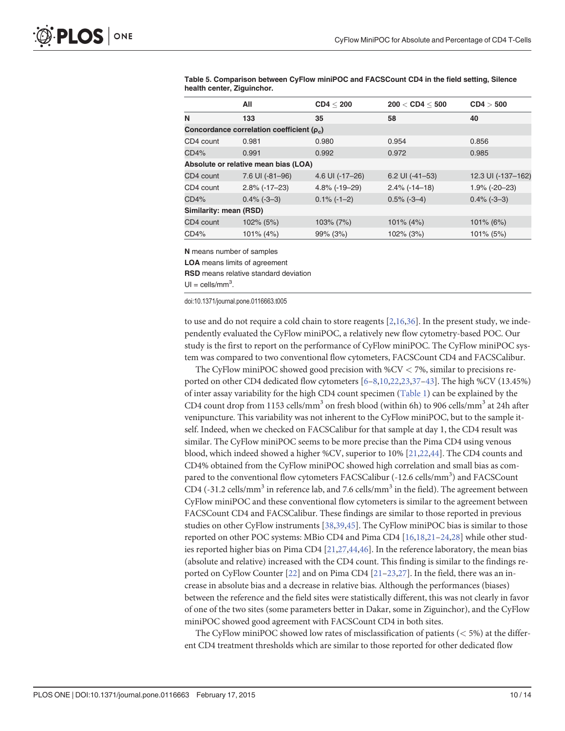<span id="page-9-0"></span>[Table 5.](#page-8-0) Comparison between CyFlow miniPOC and FACSCount CD4 in the field setting, Silence health center, Ziguinchor.

|                                                | All              | CD4 < 200        | 200 < CDA < 500   | CD4 > 500          |  |  |
|------------------------------------------------|------------------|------------------|-------------------|--------------------|--|--|
| N                                              | 133              | 35               | 58                | 40                 |  |  |
| Concordance correlation coefficient $(\rho_c)$ |                  |                  |                   |                    |  |  |
| CD4 count                                      | 0.981            | 0.980            | 0.954             | 0.856              |  |  |
| CD4%                                           | 0.991            | 0.992            | 0.972             | 0.985              |  |  |
| Absolute or relative mean bias (LOA)           |                  |                  |                   |                    |  |  |
| CD4 count                                      | 7.6 UI (-81-96)  | 4.6 UI (-17-26)  | 6.2 UI $(-41-53)$ | 12.3 UI (-137-162) |  |  |
| CD4 count                                      | $2.8\%$ (-17-23) | $4.8\%$ (-19-29) | $2.4\%$ (-14-18)  | $1.9\%$ (-20-23)   |  |  |
| CD4%                                           | $0.4\%$ (-3-3)   | $0.1\%$ (-1-2)   | $0.5\%$ (-3-4)    | $0.4\%$ (-3-3)     |  |  |
| Similarity: mean (RSD)                         |                  |                  |                   |                    |  |  |
| CD4 count                                      | 102% (5%)        | $103\% (7\%)$    | $101\% (4\%)$     | $101\%$ (6%)       |  |  |
| CD4%                                           | $101\% (4\%)$    | 99% (3%)         | 102% (3%)         | 101% (5%)          |  |  |

N means number of samples

LOA means limits of agreement

RSD means relative standard deviation

 $UI =$  cells/mm<sup>3</sup>.

doi:10.1371/journal.pone.0116663.t005

to use and do not require a cold chain to store reagents  $[2,16,36]$  $[2,16,36]$  $[2,16,36]$  $[2,16,36]$  $[2,16,36]$ . In the present study, we independently evaluated the CyFlow miniPOC, a relatively new flow cytometry-based POC. Our study is the first to report on the performance of CyFlow miniPOC. The CyFlow miniPOC system was compared to two conventional flow cytometers, FACSCount CD4 and FACSCalibur.

The CyFlow miniPOC showed good precision with  $\%$ CV  $<$  7%, similar to precisions reported on other CD4 dedicated flow cytometers  $[6-8,10,22,23,37-43]$  $[6-8,10,22,23,37-43]$  $[6-8,10,22,23,37-43]$  $[6-8,10,22,23,37-43]$  $[6-8,10,22,23,37-43]$  $[6-8,10,22,23,37-43]$  $[6-8,10,22,23,37-43]$  $[6-8,10,22,23,37-43]$ . The high %CV (13.45%) of inter assay variability for the high CD4 count specimen ([Table 1\)](#page-4-0) can be explained by the CD4 count drop from 1153 cells/mm<sup>3</sup> on fresh blood (within 6h) to 906 cells/mm<sup>3</sup> at 24h after venipuncture. This variability was not inherent to the CyFlow miniPOC, but to the sample itself. Indeed, when we checked on FACSCalibur for that sample at day 1, the CD4 result was similar. The CyFlow miniPOC seems to be more precise than the Pima CD4 using venous blood, which indeed showed a higher %CV, superior to 10% [\[21,22](#page-12-0),[44](#page-13-0)]. The CD4 counts and CD4% obtained from the CyFlow miniPOC showed high correlation and small bias as compared to the conventional flow cytometers FACSCalibur (-12.6 cells/mm<sup>3</sup>) and FACSCount CD4 (-31.2 cells/mm<sup>3</sup> in reference lab, and 7.6 cells/mm<sup>3</sup> in the field). The agreement between CyFlow miniPOC and these conventional flow cytometers is similar to the agreement between FACSCount CD4 and FACSCalibur. These findings are similar to those reported in previous studies on other CyFlow instruments [\[38,39,](#page-12-0)[45](#page-13-0)]. The CyFlow miniPOC bias is similar to those reported on other POC systems: MBio CD4 and Pima CD4 [\[16,18,](#page-11-0)[21](#page-12-0)–[24,28\]](#page-12-0) while other studies reported higher bias on Pima CD4 [[21,27,](#page-12-0)[44,46](#page-13-0)]. In the reference laboratory, the mean bias (absolute and relative) increased with the CD4 count. This finding is similar to the findings re-ported on CyFlow Counter [[22](#page-12-0)] and on Pima CD4 [[21](#page-12-0)-[23,27](#page-12-0)]. In the field, there was an increase in absolute bias and a decrease in relative bias. Although the performances (biases) between the reference and the field sites were statistically different, this was not clearly in favor of one of the two sites (some parameters better in Dakar, some in Ziguinchor), and the CyFlow miniPOC showed good agreement with FACSCount CD4 in both sites.

The CyFlow miniPOC showed low rates of misclassification of patients ( $<$  5%) at the different CD4 treatment thresholds which are similar to those reported for other dedicated flow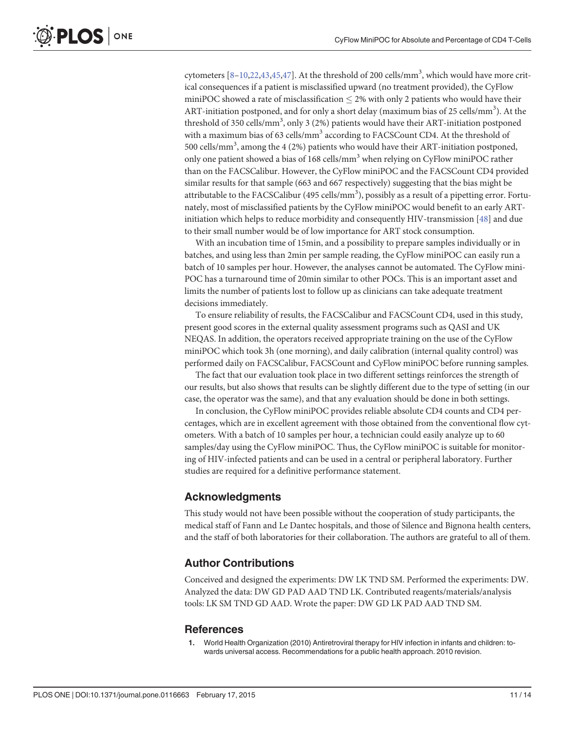<span id="page-10-0"></span>cytometers  $[8-10, 22, 43, 45, 47]$  $[8-10, 22, 43, 45, 47]$  $[8-10, 22, 43, 45, 47]$  $[8-10, 22, 43, 45, 47]$  $[8-10, 22, 43, 45, 47]$  $[8-10, 22, 43, 45, 47]$ . At the threshold of 200 cells/mm<sup>3</sup>, which would have more critical consequences if a patient is misclassified upward (no treatment provided), the CyFlow miniPOC showed a rate of misclassification  $\leq$  2% with only 2 patients who would have their ART-initiation postponed, and for only a short delay (maximum bias of 25 cells/mm<sup>3</sup>). At the threshold of 350 cells/mm<sup>3</sup>, only 3 (2%) patients would have their ART-initiation postponed with a maximum bias of 63 cells/mm<sup>3</sup> according to FACSCount CD4. At the threshold of 500 cells/mm<sup>3</sup>, among the 4 (2%) patients who would have their ART-initiation postponed, only one patient showed a bias of 168 cells/mm<sup>3</sup> when relying on CyFlow miniPOC rather than on the FACSCalibur. However, the CyFlow miniPOC and the FACSCount CD4 provided similar results for that sample (663 and 667 respectively) suggesting that the bias might be attributable to the FACSCalibur (495 cells/ $\text{mm}^{3}$ ), possibly as a result of a pipetting error. Fortunately, most of misclassified patients by the CyFlow miniPOC would benefit to an early ARTinitiation which helps to reduce morbidity and consequently HIV-transmission [[48](#page-13-0)] and due to their small number would be of low importance for ART stock consumption.

With an incubation time of 15min, and a possibility to prepare samples individually or in batches, and using less than 2min per sample reading, the CyFlow miniPOC can easily run a batch of 10 samples per hour. However, the analyses cannot be automated. The CyFlow mini-POC has a turnaround time of 20min similar to other POCs. This is an important asset and limits the number of patients lost to follow up as clinicians can take adequate treatment decisions immediately.

To ensure reliability of results, the FACSCalibur and FACSCount CD4, used in this study, present good scores in the external quality assessment programs such as QASI and UK NEQAS. In addition, the operators received appropriate training on the use of the CyFlow miniPOC which took 3h (one morning), and daily calibration (internal quality control) was performed daily on FACSCalibur, FACSCount and CyFlow miniPOC before running samples.

The fact that our evaluation took place in two different settings reinforces the strength of our results, but also shows that results can be slightly different due to the type of setting (in our case, the operator was the same), and that any evaluation should be done in both settings.

In conclusion, the CyFlow miniPOC provides reliable absolute CD4 counts and CD4 percentages, which are in excellent agreement with those obtained from the conventional flow cytometers. With a batch of 10 samples per hour, a technician could easily analyze up to 60 samples/day using the CyFlow miniPOC. Thus, the CyFlow miniPOC is suitable for monitoring of HIV-infected patients and can be used in a central or peripheral laboratory. Further studies are required for a definitive performance statement.

#### Acknowledgments

This study would not have been possible without the cooperation of study participants, the medical staff of Fann and Le Dantec hospitals, and those of Silence and Bignona health centers, and the staff of both laboratories for their collaboration. The authors are grateful to all of them.

## Author Contributions

Conceived and designed the experiments: DW LK TND SM. Performed the experiments: DW. Analyzed the data: DW GD PAD AAD TND LK. Contributed reagents/materials/analysis tools: LK SM TND GD AAD. Wrote the paper: DW GD LK PAD AAD TND SM.

#### **References**

World Health Organization (2010) Antiretroviral therapy for HIV infection in infants and children: towards universal access. Recommendations for a public health approach. 2010 revision.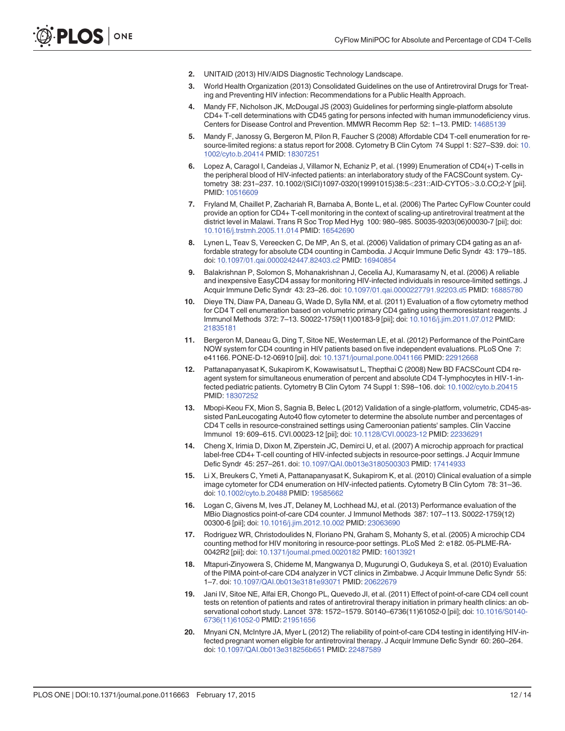- <span id="page-11-0"></span>[2.](#page-1-0) UNITAID (2013) HIV/AIDS Diagnostic Technology Landscape.
- [3.](#page-1-0) World Health Organization (2013) Consolidated Guidelines on the use of Antiretroviral Drugs for Treating and Preventing HIV infection: Recommendations for a Public Health Approach.
- [4.](#page-1-0) Mandy FF, Nicholson JK, McDougal JS (2003) Guidelines for performing single-platform absolute CD4+ T-cell determinations with CD45 gating for persons infected with human immunodeficiency virus. Centers for Disease Control and Prevention. MMWR Recomm Rep 52: 1–13. PMID: [14685139](http://www.ncbi.nlm.nih.gov/pubmed/14685139)
- [5.](#page-1-0) Mandy F, Janossy G, Bergeron M, Pilon R, Faucher S (2008) Affordable CD4 T-cell enumeration for re-source-limited regions: a status report for 2008. Cytometry B Clin Cytom 74 Suppl 1: S27-S39. doi: [10.](http://dx.doi.org/10.1002/cyto.b.20414) [1002/cyto.b.20414](http://dx.doi.org/10.1002/cyto.b.20414) PMID: [18307251](http://www.ncbi.nlm.nih.gov/pubmed/18307251)
- [6.](#page-9-0) Lopez A, Caragol I, Candeias J, Villamor N, Echaniz P, et al. (1999) Enumeration of CD4(+) T-cells in the peripheral blood of HIV-infected patients: an interlaboratory study of the FACSCount system. Cytometry 38: 231–237. 10.1002/(SICI)1097-0320(19991015)38:5<231::AID-CYTO5>3.0.CO;2-Y [pii]. PMID: [10516609](http://www.ncbi.nlm.nih.gov/pubmed/10516609)
- 7. Fryland M, Chaillet P, Zachariah R, Barnaba A, Bonte L, et al. (2006) The Partec CyFlow Counter could provide an option for CD4+ T-cell monitoring in the context of scaling-up antiretroviral treatment at the district level in Malawi. Trans R Soc Trop Med Hyg 100: 980–985. S0035-9203(06)00030-7 [pii]; doi: [10.1016/j.trstmh.2005.11.014](http://dx.doi.org/10.1016/j.trstmh.2005.11.014) PMID: [16542690](http://www.ncbi.nlm.nih.gov/pubmed/16542690)
- [8.](#page-9-0) Lynen L, Teav S, Vereecken C, De MP, An S, et al. (2006) Validation of primary CD4 gating as an affordable strategy for absolute CD4 counting in Cambodia. J Acquir Immune Defic Syndr 43: 179–185. doi: [10.1097/01.qai.0000242447.82403.c2](http://dx.doi.org/10.1097/01.qai.0000242447.82403.c2) PMID: [16940854](http://www.ncbi.nlm.nih.gov/pubmed/16940854)
- 9. Balakrishnan P, Solomon S, Mohanakrishnan J, Cecelia AJ, Kumarasamy N, et al. (2006) A reliable and inexpensive EasyCD4 assay for monitoring HIV-infected individuals in resource-limited settings. J Acquir Immune Defic Syndr 43: 23–26. doi: [10.1097/01.qai.0000227791.92203.d5](http://dx.doi.org/10.1097/01.qai.0000227791.92203.d5) PMID: [16885780](http://www.ncbi.nlm.nih.gov/pubmed/16885780)
- [10.](#page-9-0) Dieye TN, Diaw PA, Daneau G, Wade D, Sylla NM, et al. (2011) Evaluation of a flow cytometry method for CD4 T cell enumeration based on volumetric primary CD4 gating using thermoresistant reagents. J Immunol Methods 372: 7–13. S0022-1759(11)00183-9 [pii]; doi: [10.1016/j.jim.2011.07.012](http://dx.doi.org/10.1016/j.jim.2011.07.012) PMID: [21835181](http://www.ncbi.nlm.nih.gov/pubmed/21835181)
- 11. Bergeron M, Daneau G, Ding T, Sitoe NE, Westerman LE, et al. (2012) Performance of the PointCare NOW system for CD4 counting in HIV patients based on five independent evaluations. PLoS One 7: e41166. PONE-D-12-06910 [pii]. doi: [10.1371/journal.pone.0041166](http://dx.doi.org/10.1371/journal.pone.0041166) PMID: [22912668](http://www.ncbi.nlm.nih.gov/pubmed/22912668)
- [12.](#page-3-0) Pattanapanyasat K, Sukapirom K, Kowawisatsut L, Thepthai C (2008) New BD FACSCount CD4 reagent system for simultaneous enumeration of percent and absolute CD4 T-lymphocytes in HIV-1-infected pediatric patients. Cytometry B Clin Cytom 74 Suppl 1: S98–106. doi: [10.1002/cyto.b.20415](http://dx.doi.org/10.1002/cyto.b.20415) PMID: [18307252](http://www.ncbi.nlm.nih.gov/pubmed/18307252)
- [13.](#page-1-0) Mbopi-Keou FX, Mion S, Sagnia B, Belec L (2012) Validation of a single-platform, volumetric, CD45-assisted PanLeucogating Auto40 flow cytometer to determine the absolute number and percentages of CD4 T cells in resource-constrained settings using Cameroonian patients' samples. Clin Vaccine Immunol 19: 609–615. CVI.00023-12 [pii]; doi: [10.1128/CVI.00023-12](http://dx.doi.org/10.1128/CVI.00023-12) PMID: [22336291](http://www.ncbi.nlm.nih.gov/pubmed/22336291)
- [14.](#page-1-0) Cheng X, Irimia D, Dixon M, Ziperstein JC, Demirci U, et al. (2007) A microchip approach for practical label-free CD4+ T-cell counting of HIV-infected subjects in resource-poor settings. J Acquir Immune Defic Syndr 45: 257–261. doi: [10.1097/QAI.0b013e3180500303](http://dx.doi.org/10.1097/QAI.0b013e3180500303) PMID: [17414933](http://www.ncbi.nlm.nih.gov/pubmed/17414933)
- 15. Li X, Breukers C, Ymeti A, Pattanapanyasat K, Sukapirom K, et al. (2010) Clinical evaluation of a simple image cytometer for CD4 enumeration on HIV-infected patients. Cytometry B Clin Cytom 78: 31–36. doi: [10.1002/cyto.b.20488](http://dx.doi.org/10.1002/cyto.b.20488) PMID: [19585662](http://www.ncbi.nlm.nih.gov/pubmed/19585662)
- [16.](#page-9-0) Logan C, Givens M, Ives JT, Delaney M, Lochhead MJ, et al. (2013) Performance evaluation of the MBio Diagnostics point-of-care CD4 counter. J Immunol Methods 387: 107–113. S0022-1759(12) 00300-6 [pii]; doi: [10.1016/j.jim.2012.10.002](http://dx.doi.org/10.1016/j.jim.2012.10.002) PMID: [23063690](http://www.ncbi.nlm.nih.gov/pubmed/23063690)
- 17. Rodriguez WR, Christodoulides N, Floriano PN, Graham S, Mohanty S, et al. (2005) A microchip CD4 counting method for HIV monitoring in resource-poor settings. PLoS Med 2: e182. 05-PLME-RA-0042R2 [pii]; doi: [10.1371/journal.pmed.0020182](http://dx.doi.org/10.1371/journal.pmed.0020182) PMID: [16013921](http://www.ncbi.nlm.nih.gov/pubmed/16013921)
- [18.](#page-1-0) Mtapuri-Zinyowera S, Chideme M, Mangwanya D, Mugurungi O, Gudukeya S, et al. (2010) Evaluation of the PIMA point-of-care CD4 analyzer in VCT clinics in Zimbabwe. J Acquir Immune Defic Syndr 55: 1–7. doi: [10.1097/QAI.0b013e3181e93071](http://dx.doi.org/10.1097/QAI.0b013e3181e93071) PMID: [20622679](http://www.ncbi.nlm.nih.gov/pubmed/20622679)
- [19.](#page-1-0) Jani IV, Sitoe NE, Alfai ER, Chongo PL, Quevedo JI, et al. (2011) Effect of point-of-care CD4 cell count tests on retention of patients and rates of antiretroviral therapy initiation in primary health clinics: an observational cohort study. Lancet 378: 1572–1579. S0140–6736(11)61052-0 [pii]; doi: [10.1016/S0140-](http://dx.doi.org/10.1016/S0140-6736(11)61052-0) [6736\(11\)61052-0](http://dx.doi.org/10.1016/S0140-6736(11)61052-0) PMID: [21951656](http://www.ncbi.nlm.nih.gov/pubmed/21951656)
- 20. Mnyani CN, McIntyre JA, Myer L (2012) The reliability of point-of-care CD4 testing in identifying HIV-infected pregnant women eligible for antiretroviral therapy. J Acquir Immune Defic Syndr 60: 260–264. doi: [10.1097/QAI.0b013e318256b651](http://dx.doi.org/10.1097/QAI.0b013e318256b651) PMID: [22487589](http://www.ncbi.nlm.nih.gov/pubmed/22487589)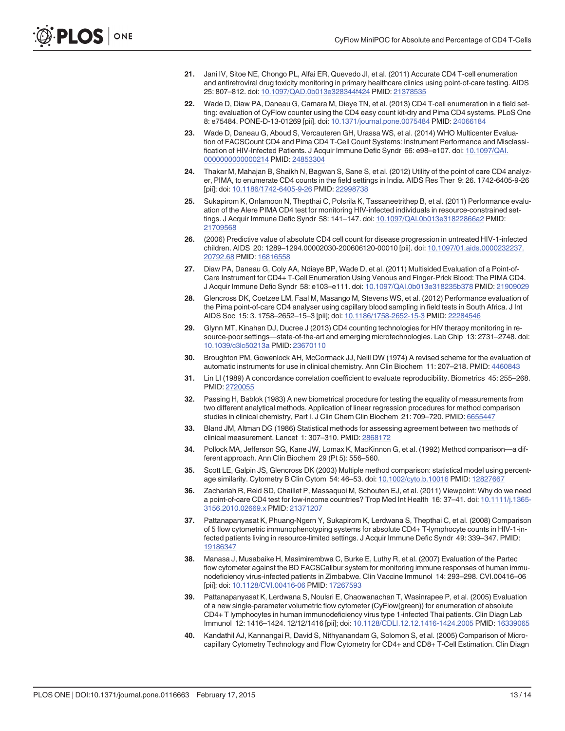- <span id="page-12-0"></span>[21.](#page-1-0) Jani IV, Sitoe NE, Chongo PL, Alfai ER, Quevedo JI, et al. (2011) Accurate CD4 T-cell enumeration and antiretroviral drug toxicity monitoring in primary healthcare clinics using point-of-care testing. AIDS 25: 807–812. doi: [10.1097/QAD.0b013e328344f424](http://dx.doi.org/10.1097/QAD.0b013e328344f424) PMID: [21378535](http://www.ncbi.nlm.nih.gov/pubmed/21378535)
- [22.](#page-1-0) Wade D, Diaw PA, Daneau G, Camara M, Dieye TN, et al. (2013) CD4 T-cell enumeration in a field setting: evaluation of CyFlow counter using the CD4 easy count kit-dry and Pima CD4 systems. PLoS One 8: e75484. PONE-D-13-01269 [pii]. doi: [10.1371/journal.pone.0075484](http://dx.doi.org/10.1371/journal.pone.0075484) PMID: [24066184](http://www.ncbi.nlm.nih.gov/pubmed/24066184)
- [23.](#page-2-0) Wade D, Daneau G, Aboud S, Vercauteren GH, Urassa WS, et al. (2014) WHO Multicenter Evaluation of FACSCount CD4 and Pima CD4 T-Cell Count Systems: Instrument Performance and Misclassification of HIV-Infected Patients. J Acquir Immune Defic Syndr 66: e98–e107. doi: [10.1097/QAI.](http://dx.doi.org/10.1097/QAI.0000000000000214) [0000000000000214](http://dx.doi.org/10.1097/QAI.0000000000000214) PMID: [24853304](http://www.ncbi.nlm.nih.gov/pubmed/24853304)
- [24.](#page-1-0) Thakar M, Mahajan B, Shaikh N, Bagwan S, Sane S, et al. (2012) Utility of the point of care CD4 analyzer, PIMA, to enumerate CD4 counts in the field settings in India. AIDS Res Ther 9: 26. 1742-6405-9-26 [pii]; doi: [10.1186/1742-6405-9-26](http://dx.doi.org/10.1186/1742-6405-9-26) PMID: [22998738](http://www.ncbi.nlm.nih.gov/pubmed/22998738)
- [25.](#page-1-0) Sukapirom K, Onlamoon N, Thepthai C, Polsrila K, Tassaneetrithep B, et al. (2011) Performance evaluation of the Alere PIMA CD4 test for monitoring HIV-infected individuals in resource-constrained settings. J Acquir Immune Defic Syndr 58: 141–147. doi: [10.1097/QAI.0b013e31822866a2](http://dx.doi.org/10.1097/QAI.0b013e31822866a2) PMID: [21709568](http://www.ncbi.nlm.nih.gov/pubmed/21709568)
- [26.](#page-1-0) (2006) Predictive value of absolute CD4 cell count for disease progression in untreated HIV-1-infected children. AIDS 20: 1289–1294.00002030-200606120-00010 [pii]. doi: [10.1097/01.aids.0000232237.](http://dx.doi.org/10.1097/01.aids.0000232237.20792.68) [20792.68](http://dx.doi.org/10.1097/01.aids.0000232237.20792.68) PMID: [16816558](http://www.ncbi.nlm.nih.gov/pubmed/16816558)
- [27.](#page-9-0) Diaw PA, Daneau G, Coly AA, Ndiaye BP, Wade D, et al. (2011) Multisided Evaluation of a Point-of-Care Instrument for CD4+ T-Cell Enumeration Using Venous and Finger-Prick Blood: The PIMA CD4. J Acquir Immune Defic Syndr 58: e103–e111. doi: [10.1097/QAI.0b013e318235b378](http://dx.doi.org/10.1097/QAI.0b013e318235b378) PMID: [21909029](http://www.ncbi.nlm.nih.gov/pubmed/21909029)
- [28.](#page-1-0) Glencross DK, Coetzee LM, Faal M, Masango M, Stevens WS, et al. (2012) Performance evaluation of the Pima point-of-care CD4 analyser using capillary blood sampling in field tests in South Africa. J Int AIDS Soc 15: 3. 1758–2652–15–3 [pii]; doi: [10.1186/1758-2652-15-3](http://dx.doi.org/10.1186/1758-2652-15-3) PMID: [22284546](http://www.ncbi.nlm.nih.gov/pubmed/22284546)
- [29.](#page-1-0) Glynn MT, Kinahan DJ, Ducree J (2013) CD4 counting technologies for HIV therapy monitoring in resource-poor settings—state-of-the-art and emerging microtechnologies. Lab Chip 13: 2731–2748. doi: [10.1039/c3lc50213a](http://dx.doi.org/10.1039/c3lc50213a) PMID: [23670110](http://www.ncbi.nlm.nih.gov/pubmed/23670110)
- [30.](#page-2-0) Broughton PM, Gowenlock AH, McCormack JJ, Neill DW (1974) A revised scheme for the evaluation of automatic instruments for use in clinical chemistry. Ann Clin Biochem 11: 207–218. PMID: [4460843](http://www.ncbi.nlm.nih.gov/pubmed/4460843)
- [31.](#page-3-0) Lin LI (1989) A concordance correlation coefficient to evaluate reproducibility. Biometrics 45: 255–268. PMID: [2720055](http://www.ncbi.nlm.nih.gov/pubmed/2720055)
- [32.](#page-3-0) Passing H, Bablok (1983) A new biometrical procedure for testing the equality of measurements from two different analytical methods. Application of linear regression procedures for method comparison studies in clinical chemistry, Part I. J Clin Chem Clin Biochem 21: 709–720. PMID: [6655447](http://www.ncbi.nlm.nih.gov/pubmed/6655447)
- [33.](#page-3-0) Bland JM, Altman DG (1986) Statistical methods for assessing agreement between two methods of clinical measurement. Lancet 1: 307–310. PMID: [2868172](http://www.ncbi.nlm.nih.gov/pubmed/2868172)
- [34.](#page-3-0) Pollock MA, Jefferson SG, Kane JW, Lomax K, MacKinnon G, et al. (1992) Method comparison—a different approach. Ann Clin Biochem 29 (Pt 5): 556–560.
- [35.](#page-3-0) Scott LE, Galpin JS, Glencross DK (2003) Multiple method comparison: statistical model using percentage similarity. Cytometry B Clin Cytom 54: 46–53. doi: [10.1002/cyto.b.10016](http://dx.doi.org/10.1002/cyto.b.10016) PMID: [12827667](http://www.ncbi.nlm.nih.gov/pubmed/12827667)
- [36.](#page-9-0) Zachariah R, Reid SD, Chaillet P, Massaquoi M, Schouten EJ, et al. (2011) Viewpoint: Why do we need a point-of-care CD4 test for low-income countries? Trop Med Int Health 16: 37–41. doi: [10.1111/j.1365-](http://dx.doi.org/10.1111/j.1365-3156.2010.02669.x) [3156.2010.02669.x](http://dx.doi.org/10.1111/j.1365-3156.2010.02669.x) PMID: [21371207](http://www.ncbi.nlm.nih.gov/pubmed/21371207)
- [37.](#page-9-0) Pattanapanyasat K, Phuang-Ngern Y, Sukapirom K, Lerdwana S, Thepthai C, et al. (2008) Comparison of 5 flow cytometric immunophenotyping systems for absolute CD4+ T-lymphocyte counts in HIV-1-infected patients living in resource-limited settings. J Acquir Immune Defic Syndr 49: 339–347. PMID: [19186347](http://www.ncbi.nlm.nih.gov/pubmed/19186347)
- [38.](#page-9-0) Manasa J, Musabaike H, Masimirembwa C, Burke E, Luthy R, et al. (2007) Evaluation of the Partec flow cytometer against the BD FACSCalibur system for monitoring immune responses of human immunodeficiency virus-infected patients in Zimbabwe. Clin Vaccine Immunol 14: 293–298. CVI.00416–06 [pii]; doi: [10.1128/CVI.00416-06](http://dx.doi.org/10.1128/CVI.00416-06) PMID: [17267593](http://www.ncbi.nlm.nih.gov/pubmed/17267593)
- [39.](#page-9-0) Pattanapanyasat K, Lerdwana S, Noulsri E, Chaowanachan T, Wasinrapee P, et al. (2005) Evaluation of a new single-parameter volumetric flow cytometer (CyFlow(green)) for enumeration of absolute CD4+ T lymphocytes in human immunodeficiency virus type 1-infected Thai patients. Clin Diagn Lab Immunol 12: 1416–1424. 12/12/1416 [pii]; doi: [10.1128/CDLI.12.12.1416-1424.2005](http://dx.doi.org/10.1128/CDLI.12.12.1416-1424.2005) PMID: [16339065](http://www.ncbi.nlm.nih.gov/pubmed/16339065)
- 40. Kandathil AJ, Kannangai R, David S, Nithyanandam G, Solomon S, et al. (2005) Comparison of Microcapillary Cytometry Technology and Flow Cytometry for CD4+ and CD8+ T-Cell Estimation. Clin Diagn